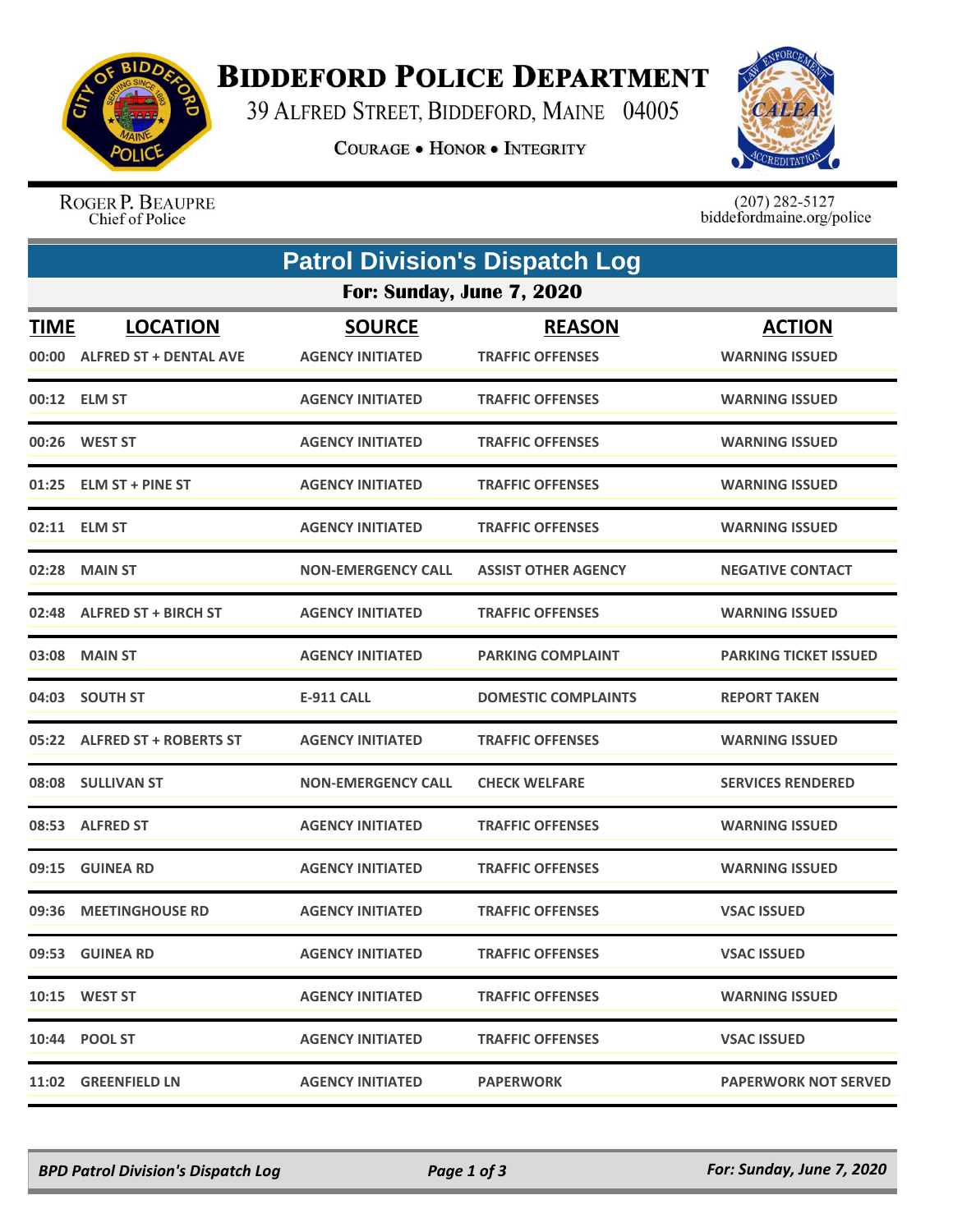

## **BIDDEFORD POLICE DEPARTMENT**

39 ALFRED STREET, BIDDEFORD, MAINE 04005

**COURAGE . HONOR . INTEGRITY** 



ROGER P. BEAUPRE Chief of Police

 $(207)$  282-5127<br>biddefordmaine.org/police

|                      | <b>Patrol Division's Dispatch Log</b>            |                                          |                                          |                                        |  |  |  |  |
|----------------------|--------------------------------------------------|------------------------------------------|------------------------------------------|----------------------------------------|--|--|--|--|
|                      | For: Sunday, June 7, 2020                        |                                          |                                          |                                        |  |  |  |  |
| <b>TIME</b><br>00:00 | <b>LOCATION</b><br><b>ALFRED ST + DENTAL AVE</b> | <b>SOURCE</b><br><b>AGENCY INITIATED</b> | <b>REASON</b><br><b>TRAFFIC OFFENSES</b> | <b>ACTION</b><br><b>WARNING ISSUED</b> |  |  |  |  |
|                      | 00:12 ELM ST                                     | <b>AGENCY INITIATED</b>                  | <b>TRAFFIC OFFENSES</b>                  | <b>WARNING ISSUED</b>                  |  |  |  |  |
|                      | 00:26 WEST ST                                    | <b>AGENCY INITIATED</b>                  | <b>TRAFFIC OFFENSES</b>                  | <b>WARNING ISSUED</b>                  |  |  |  |  |
|                      | 01:25 ELM ST + PINE ST                           | <b>AGENCY INITIATED</b>                  | <b>TRAFFIC OFFENSES</b>                  | <b>WARNING ISSUED</b>                  |  |  |  |  |
|                      | 02:11 ELM ST                                     | <b>AGENCY INITIATED</b>                  | <b>TRAFFIC OFFENSES</b>                  | <b>WARNING ISSUED</b>                  |  |  |  |  |
|                      | 02:28 MAIN ST                                    | <b>NON-EMERGENCY CALL</b>                | <b>ASSIST OTHER AGENCY</b>               | <b>NEGATIVE CONTACT</b>                |  |  |  |  |
|                      | 02:48 ALFRED ST + BIRCH ST                       | <b>AGENCY INITIATED</b>                  | <b>TRAFFIC OFFENSES</b>                  | <b>WARNING ISSUED</b>                  |  |  |  |  |
| 03:08                | <b>MAIN ST</b>                                   | <b>AGENCY INITIATED</b>                  | <b>PARKING COMPLAINT</b>                 | <b>PARKING TICKET ISSUED</b>           |  |  |  |  |
|                      | 04:03 SOUTH ST                                   | <b>E-911 CALL</b>                        | <b>DOMESTIC COMPLAINTS</b>               | <b>REPORT TAKEN</b>                    |  |  |  |  |
|                      | 05:22 ALFRED ST + ROBERTS ST                     | <b>AGENCY INITIATED</b>                  | <b>TRAFFIC OFFENSES</b>                  | <b>WARNING ISSUED</b>                  |  |  |  |  |
|                      | 08:08 SULLIVAN ST                                | <b>NON-EMERGENCY CALL</b>                | <b>CHECK WELFARE</b>                     | <b>SERVICES RENDERED</b>               |  |  |  |  |
|                      | 08:53 ALFRED ST                                  | <b>AGENCY INITIATED</b>                  | <b>TRAFFIC OFFENSES</b>                  | <b>WARNING ISSUED</b>                  |  |  |  |  |
|                      | 09:15 GUINEA RD                                  | <b>AGENCY INITIATED</b>                  | <b>TRAFFIC OFFENSES</b>                  | <b>WARNING ISSUED</b>                  |  |  |  |  |
|                      | 09:36 MEETINGHOUSE RD                            | <b>AGENCY INITIATED</b>                  | <b>TRAFFIC OFFENSES</b>                  | <b>VSAC ISSUED</b>                     |  |  |  |  |
|                      | 09:53 GUINEA RD                                  | <b>AGENCY INITIATED</b>                  | <b>TRAFFIC OFFENSES</b>                  | <b>VSAC ISSUED</b>                     |  |  |  |  |
|                      | 10:15 WEST ST                                    | <b>AGENCY INITIATED</b>                  | <b>TRAFFIC OFFENSES</b>                  | <b>WARNING ISSUED</b>                  |  |  |  |  |
|                      | 10:44 POOL ST                                    | <b>AGENCY INITIATED</b>                  | <b>TRAFFIC OFFENSES</b>                  | <b>VSAC ISSUED</b>                     |  |  |  |  |
|                      | 11:02 GREENFIELD LN                              | <b>AGENCY INITIATED</b>                  | <b>PAPERWORK</b>                         | <b>PAPERWORK NOT SERVED</b>            |  |  |  |  |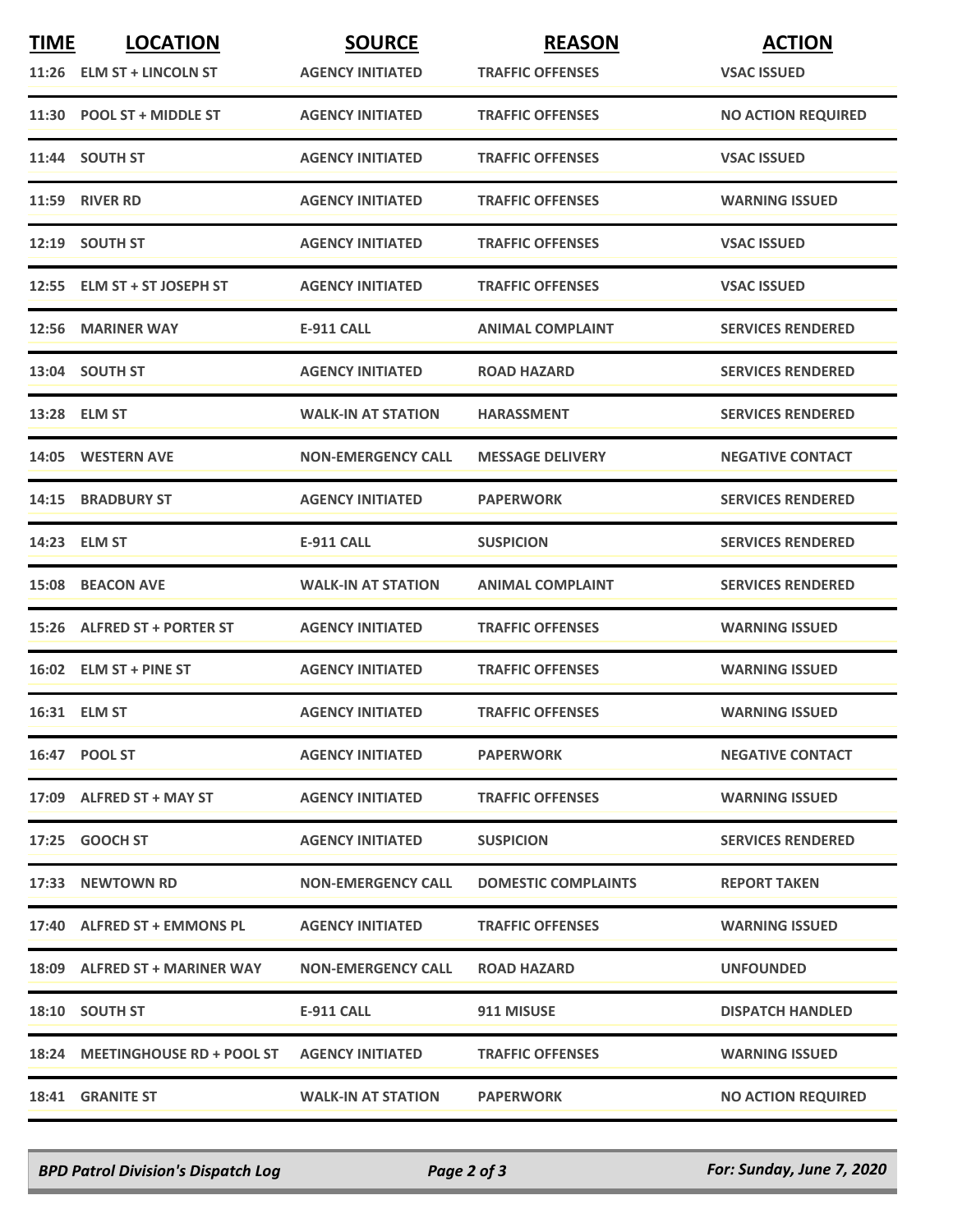| <b>TIME</b> | <b>LOCATION</b>                 | <b>SOURCE</b>             | <b>REASON</b>              | <b>ACTION</b>             |
|-------------|---------------------------------|---------------------------|----------------------------|---------------------------|
|             | 11:26 ELM ST + LINCOLN ST       | <b>AGENCY INITIATED</b>   | <b>TRAFFIC OFFENSES</b>    | <b>VSAC ISSUED</b>        |
|             | 11:30 POOL ST + MIDDLE ST       | <b>AGENCY INITIATED</b>   | <b>TRAFFIC OFFENSES</b>    | <b>NO ACTION REQUIRED</b> |
|             | 11:44 SOUTH ST                  | <b>AGENCY INITIATED</b>   | <b>TRAFFIC OFFENSES</b>    | <b>VSAC ISSUED</b>        |
|             | 11:59 RIVER RD                  | <b>AGENCY INITIATED</b>   | <b>TRAFFIC OFFENSES</b>    | <b>WARNING ISSUED</b>     |
|             | 12:19 SOUTH ST                  | <b>AGENCY INITIATED</b>   | <b>TRAFFIC OFFENSES</b>    | <b>VSAC ISSUED</b>        |
|             | 12:55 ELM ST + ST JOSEPH ST     | <b>AGENCY INITIATED</b>   | <b>TRAFFIC OFFENSES</b>    | <b>VSAC ISSUED</b>        |
| 12:56       | <b>MARINER WAY</b>              | <b>E-911 CALL</b>         | <b>ANIMAL COMPLAINT</b>    | <b>SERVICES RENDERED</b>  |
|             | 13:04 SOUTH ST                  | <b>AGENCY INITIATED</b>   | <b>ROAD HAZARD</b>         | <b>SERVICES RENDERED</b>  |
|             | 13:28 ELM ST                    | <b>WALK-IN AT STATION</b> | <b>HARASSMENT</b>          | <b>SERVICES RENDERED</b>  |
|             | 14:05 WESTERN AVE               | <b>NON-EMERGENCY CALL</b> | <b>MESSAGE DELIVERY</b>    | <b>NEGATIVE CONTACT</b>   |
|             | <b>14:15 BRADBURY ST</b>        | <b>AGENCY INITIATED</b>   | <b>PAPERWORK</b>           | <b>SERVICES RENDERED</b>  |
|             | 14:23 ELM ST                    | <b>E-911 CALL</b>         | <b>SUSPICION</b>           | <b>SERVICES RENDERED</b>  |
|             | 15:08 BEACON AVE                | <b>WALK-IN AT STATION</b> | <b>ANIMAL COMPLAINT</b>    | <b>SERVICES RENDERED</b>  |
|             | 15:26 ALFRED ST + PORTER ST     | <b>AGENCY INITIATED</b>   | <b>TRAFFIC OFFENSES</b>    | <b>WARNING ISSUED</b>     |
|             | 16:02 ELM ST + PINE ST          | <b>AGENCY INITIATED</b>   | <b>TRAFFIC OFFENSES</b>    | <b>WARNING ISSUED</b>     |
|             | 16:31 ELM ST                    | <b>AGENCY INITIATED</b>   | <b>TRAFFIC OFFENSES</b>    | <b>WARNING ISSUED</b>     |
|             | 16:47 POOL ST                   | <b>AGENCY INITIATED</b>   | <b>PAPERWORK</b>           | <b>NEGATIVE CONTACT</b>   |
|             | 17:09 ALFRED ST + MAY ST        | <b>AGENCY INITIATED</b>   | <b>TRAFFIC OFFENSES</b>    | <b>WARNING ISSUED</b>     |
|             | 17:25 GOOCH ST                  | <b>AGENCY INITIATED</b>   | <b>SUSPICION</b>           | <b>SERVICES RENDERED</b>  |
|             | 17:33 NEWTOWN RD                | <b>NON-EMERGENCY CALL</b> | <b>DOMESTIC COMPLAINTS</b> | <b>REPORT TAKEN</b>       |
|             | 17:40 ALFRED ST + EMMONS PL     | <b>AGENCY INITIATED</b>   | <b>TRAFFIC OFFENSES</b>    | <b>WARNING ISSUED</b>     |
|             | 18:09 ALFRED ST + MARINER WAY   | <b>NON-EMERGENCY CALL</b> | <b>ROAD HAZARD</b>         | <b>UNFOUNDED</b>          |
|             | 18:10 SOUTH ST                  | E-911 CALL                | 911 MISUSE                 | <b>DISPATCH HANDLED</b>   |
|             | 18:24 MEETINGHOUSE RD + POOL ST | <b>AGENCY INITIATED</b>   | <b>TRAFFIC OFFENSES</b>    | <b>WARNING ISSUED</b>     |
|             | <b>18:41 GRANITE ST</b>         | <b>WALK-IN AT STATION</b> | <b>PAPERWORK</b>           | <b>NO ACTION REQUIRED</b> |

*BPD Patrol Division's Dispatch Log Page 2 of 3 For: Sunday, June 7, 2020*